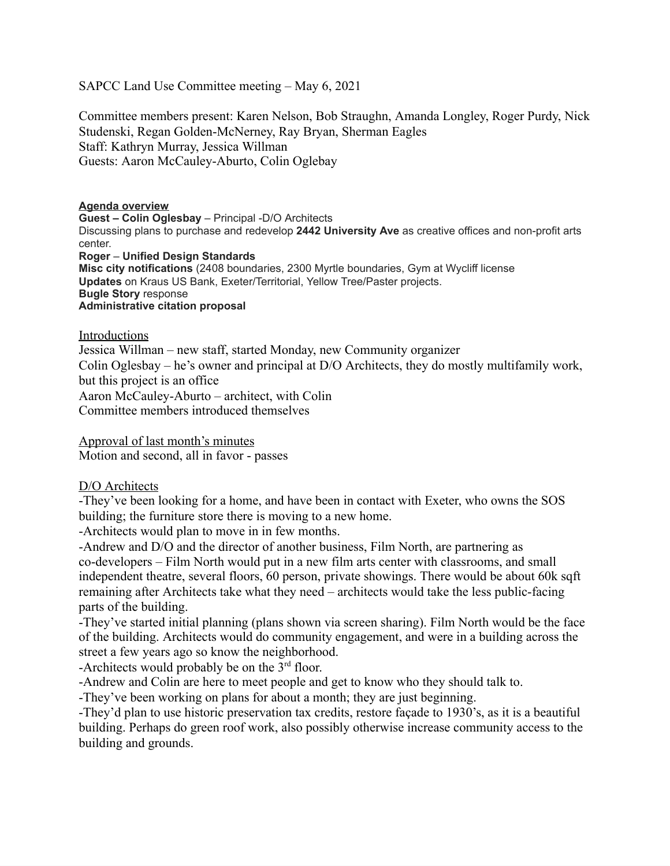SAPCC Land Use Committee meeting – May 6, 2021

Committee members present: Karen Nelson, Bob Straughn, Amanda Longley, Roger Purdy, Nick Studenski, Regan Golden-McNerney, Ray Bryan, Sherman Eagles Staff: Kathryn Murray, Jessica Willman Guests: Aaron McCauley-Aburto, Colin Oglebay

#### **Agenda overview**

**Guest – Colin Oglesbay** – Principal -D/O Architects

Discussing plans to purchase and redevelop **2442 University Ave** as creative offices and non-profit arts center.

**Roger** – **Unified Design Standards**

**Misc city notifications** (2408 boundaries, 2300 Myrtle boundaries, Gym at Wycliff license **Updates** on Kraus US Bank, Exeter/Territorial, Yellow Tree/Paster projects. **Bugle Story** response **Administrative citation proposal**

Introductions

Jessica Willman – new staff, started Monday, new Community organizer Colin Oglesbay – he's owner and principal at D/O Architects, they do mostly multifamily work, but this project is an office Aaron McCauley-Aburto – architect, with Colin Committee members introduced themselves

Approval of last month's minutes Motion and second, all in favor - passes

### D/O Architects

-They've been looking for a home, and have been in contact with Exeter, who owns the SOS building; the furniture store there is moving to a new home.

-Architects would plan to move in in few months.

-Andrew and D/O and the director of another business, Film North, are partnering as co-developers – Film North would put in a new film arts center with classrooms, and small independent theatre, several floors, 60 person, private showings. There would be about 60k sqft remaining after Architects take what they need – architects would take the less public-facing parts of the building.

-They've started initial planning (plans shown via screen sharing). Film North would be the face of the building. Architects would do community engagement, and were in a building across the street a few years ago so know the neighborhood.

-Architects would probably be on the  $3<sup>rd</sup>$  floor.

-Andrew and Colin are here to meet people and get to know who they should talk to.

-They've been working on plans for about a month; they are just beginning.

-They'd plan to use historic preservation tax credits, restore façade to 1930's, as it is a beautiful building. Perhaps do green roof work, also possibly otherwise increase community access to the building and grounds.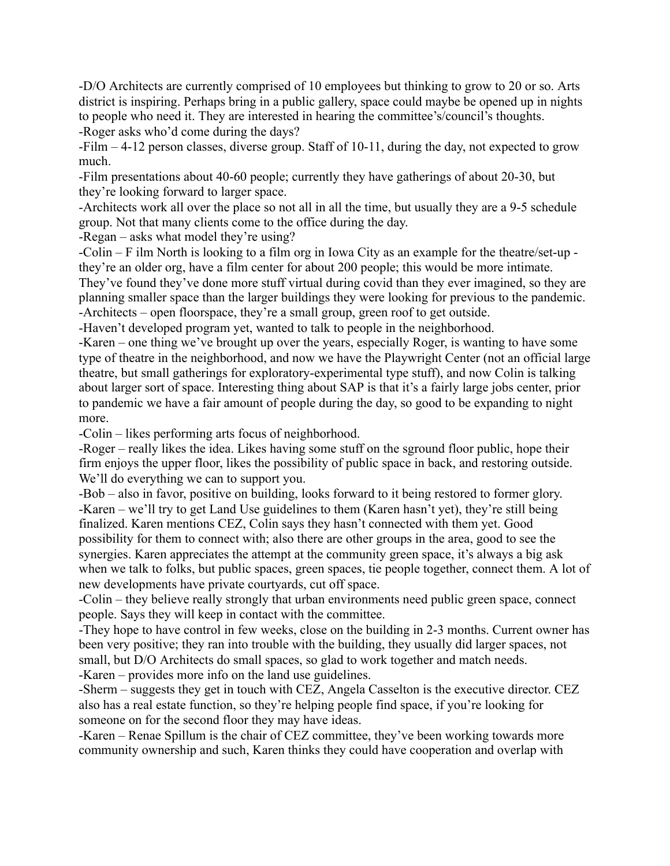-D/O Architects are currently comprised of 10 employees but thinking to grow to 20 or so. Arts district is inspiring. Perhaps bring in a public gallery, space could maybe be opened up in nights to people who need it. They are interested in hearing the committee's/council's thoughts. -Roger asks who'd come during the days?

-Film – 4-12 person classes, diverse group. Staff of 10-11, during the day, not expected to grow much.

-Film presentations about 40-60 people; currently they have gatherings of about 20-30, but they're looking forward to larger space.

-Architects work all over the place so not all in all the time, but usually they are a 9-5 schedule group. Not that many clients come to the office during the day.

-Regan – asks what model they're using?

-Colin – F ilm North is looking to a film org in Iowa City as an example for the theatre/set-up they're an older org, have a film center for about 200 people; this would be more intimate. They've found they've done more stuff virtual during covid than they ever imagined, so they are planning smaller space than the larger buildings they were looking for previous to the pandemic. -Architects – open floorspace, they're a small group, green roof to get outside.

-Haven't developed program yet, wanted to talk to people in the neighborhood.

-Karen – one thing we've brought up over the years, especially Roger, is wanting to have some type of theatre in the neighborhood, and now we have the Playwright Center (not an official large theatre, but small gatherings for exploratory-experimental type stuff), and now Colin is talking about larger sort of space. Interesting thing about SAP is that it's a fairly large jobs center, prior to pandemic we have a fair amount of people during the day, so good to be expanding to night more.

-Colin – likes performing arts focus of neighborhood.

-Roger – really likes the idea. Likes having some stuff on the sground floor public, hope their firm enjoys the upper floor, likes the possibility of public space in back, and restoring outside. We'll do everything we can to support you.

-Bob – also in favor, positive on building, looks forward to it being restored to former glory. -Karen – we'll try to get Land Use guidelines to them (Karen hasn't yet), they're still being finalized. Karen mentions CEZ, Colin says they hasn't connected with them yet. Good possibility for them to connect with; also there are other groups in the area, good to see the synergies. Karen appreciates the attempt at the community green space, it's always a big ask when we talk to folks, but public spaces, green spaces, tie people together, connect them. A lot of new developments have private courtyards, cut off space.

-Colin – they believe really strongly that urban environments need public green space, connect people. Says they will keep in contact with the committee.

-They hope to have control in few weeks, close on the building in 2-3 months. Current owner has been very positive; they ran into trouble with the building, they usually did larger spaces, not small, but D/O Architects do small spaces, so glad to work together and match needs. -Karen – provides more info on the land use guidelines.

-Sherm – suggests they get in touch with CEZ, Angela Casselton is the executive director. CEZ also has a real estate function, so they're helping people find space, if you're looking for someone on for the second floor they may have ideas.

-Karen – Renae Spillum is the chair of CEZ committee, they've been working towards more community ownership and such, Karen thinks they could have cooperation and overlap with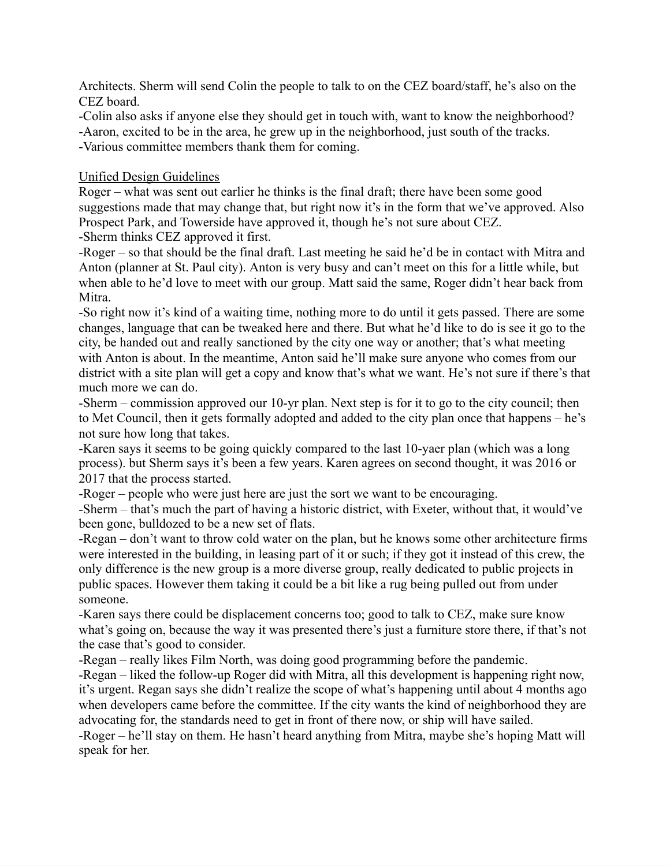Architects. Sherm will send Colin the people to talk to on the CEZ board/staff, he's also on the CEZ board.

-Colin also asks if anyone else they should get in touch with, want to know the neighborhood?

-Aaron, excited to be in the area, he grew up in the neighborhood, just south of the tracks.

-Various committee members thank them for coming.

### Unified Design Guidelines

Roger – what was sent out earlier he thinks is the final draft; there have been some good suggestions made that may change that, but right now it's in the form that we've approved. Also Prospect Park, and Towerside have approved it, though he's not sure about CEZ.

-Sherm thinks CEZ approved it first.

-Roger – so that should be the final draft. Last meeting he said he'd be in contact with Mitra and Anton (planner at St. Paul city). Anton is very busy and can't meet on this for a little while, but when able to he'd love to meet with our group. Matt said the same, Roger didn't hear back from Mitra.

-So right now it's kind of a waiting time, nothing more to do until it gets passed. There are some changes, language that can be tweaked here and there. But what he'd like to do is see it go to the city, be handed out and really sanctioned by the city one way or another; that's what meeting with Anton is about. In the meantime, Anton said he'll make sure anyone who comes from our district with a site plan will get a copy and know that's what we want. He's not sure if there's that much more we can do.

-Sherm – commission approved our 10-yr plan. Next step is for it to go to the city council; then to Met Council, then it gets formally adopted and added to the city plan once that happens – he's not sure how long that takes.

-Karen says it seems to be going quickly compared to the last 10-yaer plan (which was a long process). but Sherm says it's been a few years. Karen agrees on second thought, it was 2016 or 2017 that the process started.

-Roger – people who were just here are just the sort we want to be encouraging.

-Sherm – that's much the part of having a historic district, with Exeter, without that, it would've been gone, bulldozed to be a new set of flats.

-Regan – don't want to throw cold water on the plan, but he knows some other architecture firms were interested in the building, in leasing part of it or such; if they got it instead of this crew, the only difference is the new group is a more diverse group, really dedicated to public projects in public spaces. However them taking it could be a bit like a rug being pulled out from under someone.

-Karen says there could be displacement concerns too; good to talk to CEZ, make sure know what's going on, because the way it was presented there's just a furniture store there, if that's not the case that's good to consider.

-Regan – really likes Film North, was doing good programming before the pandemic.

-Regan – liked the follow-up Roger did with Mitra, all this development is happening right now, it's urgent. Regan says she didn't realize the scope of what's happening until about 4 months ago when developers came before the committee. If the city wants the kind of neighborhood they are advocating for, the standards need to get in front of there now, or ship will have sailed.

-Roger – he'll stay on them. He hasn't heard anything from Mitra, maybe she's hoping Matt will speak for her.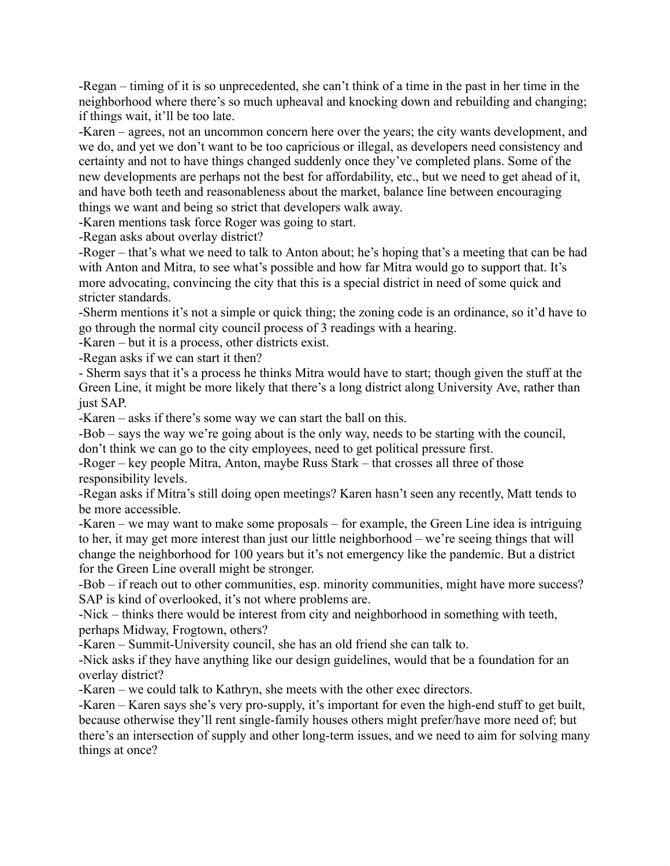-Regan – timing of it is so unprecedented, she can't think of a time in the past in her time in the neighborhood where there's so much upheaval and knocking down and rebuilding and changing; if things wait, it'll be too late.

-Karen – agrees, not an uncommon concern here over the years; the city wants development, and we do, and yet we don't want to be too capricious or illegal, as developers need consistency and certainty and not to have things changed suddenly once they've completed plans. Some of the new developments are perhaps not the best for affordability, etc., but we need to get ahead of it, and have both teeth and reasonableness about the market, balance line between encouraging things we want and being so strict that developers walk away.

-Karen mentions task force Roger was going to start.

-Regan asks about overlay district?

-Roger – that's what we need to talk to Anton about; he's hoping that's a meeting that can be had with Anton and Mitra, to see what's possible and how far Mitra would go to support that. It's more advocating, convincing the city that this is a special district in need of some quick and stricter standards.

-Sherm mentions it's not a simple or quick thing; the zoning code is an ordinance, so it'd have to go through the normal city council process of 3 readings with a hearing.

-Karen – but it is a process, other districts exist.

-Regan asks if we can start it then?

- Sherm says that it's a process he thinks Mitra would have to start; though given the stuff at the Green Line, it might be more likely that there's a long district along University Ave, rather than just SAP.

-Karen – asks if there's some way we can start the ball on this.

-Bob – says the way we're going about is the only way, needs to be starting with the council, don't think we can go to the city employees, need to get political pressure first.

-Roger – key people Mitra, Anton, maybe Russ Stark – that crosses all three of those responsibility levels.

-Regan asks if Mitra's still doing open meetings? Karen hasn't seen any recently, Matt tends to be more accessible.

-Karen – we may want to make some proposals – for example, the Green Line idea is intriguing to her, it may get more interest than just our little neighborhood – we're seeing things that will change the neighborhood for 100 years but it's not emergency like the pandemic. But a district for the Green Line overall might be stronger.

-Bob – if reach out to other communities, esp. minority communities, might have more success? SAP is kind of overlooked, it's not where problems are.

-Nick – thinks there would be interest from city and neighborhood in something with teeth, perhaps Midway, Frogtown, others?

-Karen – Summit-University council, she has an old friend she can talk to.

-Nick asks if they have anything like our design guidelines, would that be a foundation for an overlay district?

-Karen – we could talk to Kathryn, she meets with the other exec directors.

-Karen – Karen says she's very pro-supply, it's important for even the high-end stuff to get built, because otherwise they'll rent single-family houses others might prefer/have more need of; but there's an intersection of supply and other long-term issues, and we need to aim for solving many things at once?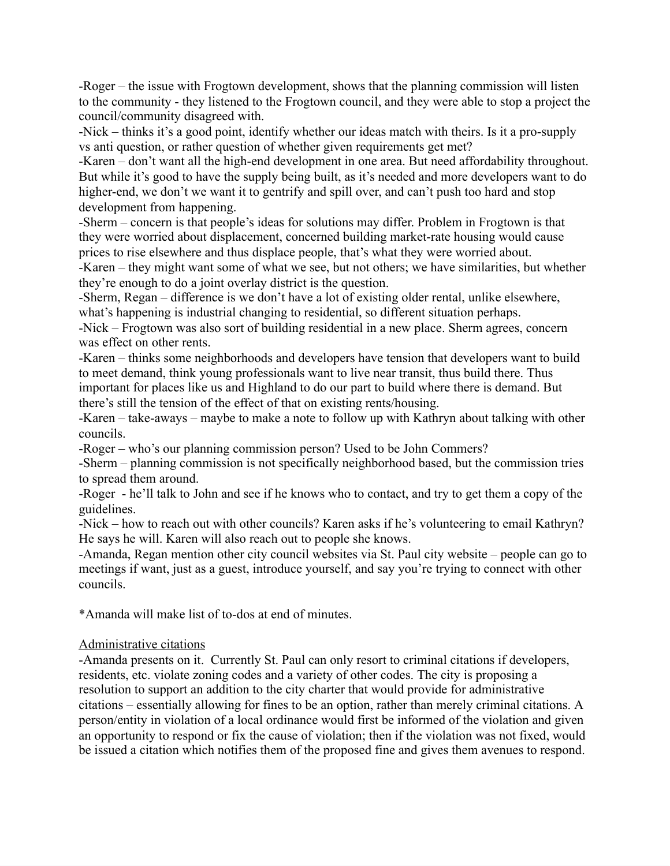-Roger – the issue with Frogtown development, shows that the planning commission will listen to the community - they listened to the Frogtown council, and they were able to stop a project the council/community disagreed with.

-Nick – thinks it's a good point, identify whether our ideas match with theirs. Is it a pro-supply vs anti question, or rather question of whether given requirements get met?

-Karen – don't want all the high-end development in one area. But need affordability throughout. But while it's good to have the supply being built, as it's needed and more developers want to do higher-end, we don't we want it to gentrify and spill over, and can't push too hard and stop development from happening.

-Sherm – concern is that people's ideas for solutions may differ. Problem in Frogtown is that they were worried about displacement, concerned building market-rate housing would cause prices to rise elsewhere and thus displace people, that's what they were worried about.

-Karen – they might want some of what we see, but not others; we have similarities, but whether they're enough to do a joint overlay district is the question.

-Sherm, Regan – difference is we don't have a lot of existing older rental, unlike elsewhere, what's happening is industrial changing to residential, so different situation perhaps.

-Nick – Frogtown was also sort of building residential in a new place. Sherm agrees, concern was effect on other rents.

-Karen – thinks some neighborhoods and developers have tension that developers want to build to meet demand, think young professionals want to live near transit, thus build there. Thus important for places like us and Highland to do our part to build where there is demand. But there's still the tension of the effect of that on existing rents/housing.

-Karen – take-aways – maybe to make a note to follow up with Kathryn about talking with other councils.

-Roger – who's our planning commission person? Used to be John Commers?

-Sherm – planning commission is not specifically neighborhood based, but the commission tries to spread them around.

-Roger - he'll talk to John and see if he knows who to contact, and try to get them a copy of the guidelines.

-Nick – how to reach out with other councils? Karen asks if he's volunteering to email Kathryn? He says he will. Karen will also reach out to people she knows.

-Amanda, Regan mention other city council websites via St. Paul city website – people can go to meetings if want, just as a guest, introduce yourself, and say you're trying to connect with other councils.

\*Amanda will make list of to-dos at end of minutes.

### Administrative citations

-Amanda presents on it. Currently St. Paul can only resort to criminal citations if developers, residents, etc. violate zoning codes and a variety of other codes. The city is proposing a resolution to support an addition to the city charter that would provide for administrative citations – essentially allowing for fines to be an option, rather than merely criminal citations. A person/entity in violation of a local ordinance would first be informed of the violation and given an opportunity to respond or fix the cause of violation; then if the violation was not fixed, would be issued a citation which notifies them of the proposed fine and gives them avenues to respond.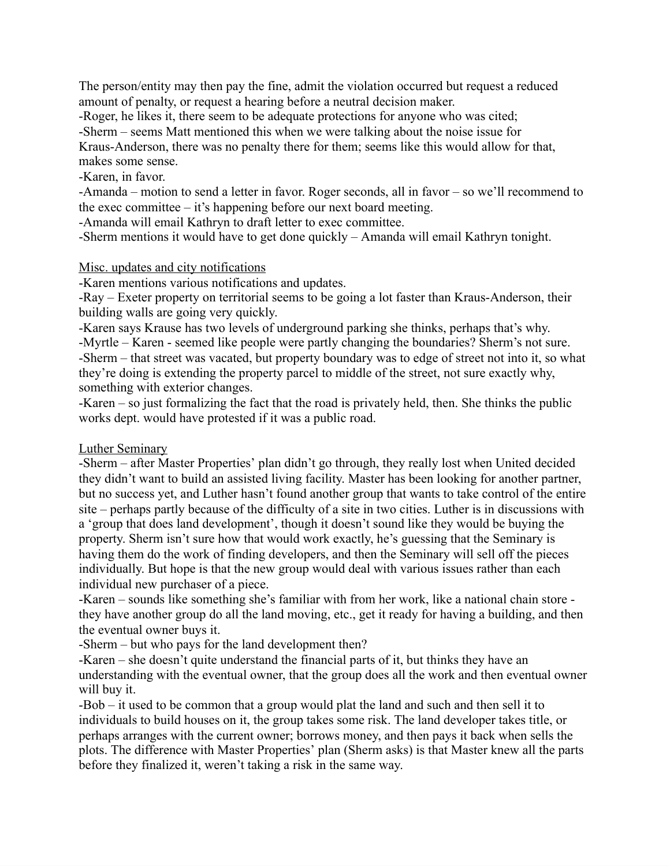The person/entity may then pay the fine, admit the violation occurred but request a reduced amount of penalty, or request a hearing before a neutral decision maker.

-Roger, he likes it, there seem to be adequate protections for anyone who was cited;

-Sherm – seems Matt mentioned this when we were talking about the noise issue for

Kraus-Anderson, there was no penalty there for them; seems like this would allow for that, makes some sense.

-Karen, in favor.

-Amanda – motion to send a letter in favor. Roger seconds, all in favor – so we'll recommend to the exec committee – it's happening before our next board meeting.

-Amanda will email Kathryn to draft letter to exec committee.

-Sherm mentions it would have to get done quickly – Amanda will email Kathryn tonight.

### Misc. updates and city notifications

-Karen mentions various notifications and updates.

-Ray – Exeter property on territorial seems to be going a lot faster than Kraus-Anderson, their building walls are going very quickly.

-Karen says Krause has two levels of underground parking she thinks, perhaps that's why. -Myrtle – Karen - seemed like people were partly changing the boundaries? Sherm's not sure. -Sherm – that street was vacated, but property boundary was to edge of street not into it, so what they're doing is extending the property parcel to middle of the street, not sure exactly why, something with exterior changes.

-Karen – so just formalizing the fact that the road is privately held, then. She thinks the public works dept. would have protested if it was a public road.

### Luther Seminary

-Sherm – after Master Properties' plan didn't go through, they really lost when United decided they didn't want to build an assisted living facility. Master has been looking for another partner, but no success yet, and Luther hasn't found another group that wants to take control of the entire site – perhaps partly because of the difficulty of a site in two cities. Luther is in discussions with a 'group that does land development', though it doesn't sound like they would be buying the property. Sherm isn't sure how that would work exactly, he's guessing that the Seminary is having them do the work of finding developers, and then the Seminary will sell off the pieces individually. But hope is that the new group would deal with various issues rather than each individual new purchaser of a piece.

-Karen – sounds like something she's familiar with from her work, like a national chain store they have another group do all the land moving, etc., get it ready for having a building, and then the eventual owner buys it.

-Sherm – but who pays for the land development then?

-Karen – she doesn't quite understand the financial parts of it, but thinks they have an understanding with the eventual owner, that the group does all the work and then eventual owner will buy it.

-Bob – it used to be common that a group would plat the land and such and then sell it to individuals to build houses on it, the group takes some risk. The land developer takes title, or perhaps arranges with the current owner; borrows money, and then pays it back when sells the plots. The difference with Master Properties' plan (Sherm asks) is that Master knew all the parts before they finalized it, weren't taking a risk in the same way.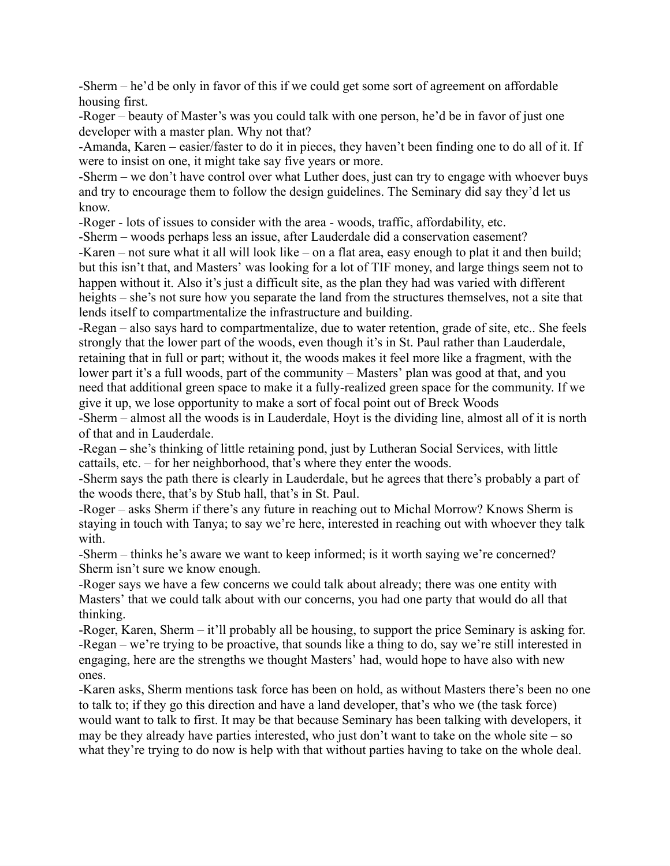-Sherm – he'd be only in favor of this if we could get some sort of agreement on affordable housing first.

-Roger – beauty of Master's was you could talk with one person, he'd be in favor of just one developer with a master plan. Why not that?

-Amanda, Karen – easier/faster to do it in pieces, they haven't been finding one to do all of it. If were to insist on one, it might take say five years or more.

-Sherm – we don't have control over what Luther does, just can try to engage with whoever buys and try to encourage them to follow the design guidelines. The Seminary did say they'd let us know.

-Roger - lots of issues to consider with the area - woods, traffic, affordability, etc.

-Sherm – woods perhaps less an issue, after Lauderdale did a conservation easement? -Karen – not sure what it all will look like – on a flat area, easy enough to plat it and then build; but this isn't that, and Masters' was looking for a lot of TIF money, and large things seem not to happen without it. Also it's just a difficult site, as the plan they had was varied with different heights – she's not sure how you separate the land from the structures themselves, not a site that lends itself to compartmentalize the infrastructure and building.

-Regan – also says hard to compartmentalize, due to water retention, grade of site, etc.. She feels strongly that the lower part of the woods, even though it's in St. Paul rather than Lauderdale, retaining that in full or part; without it, the woods makes it feel more like a fragment, with the lower part it's a full woods, part of the community – Masters' plan was good at that, and you need that additional green space to make it a fully-realized green space for the community. If we give it up, we lose opportunity to make a sort of focal point out of Breck Woods

-Sherm – almost all the woods is in Lauderdale, Hoyt is the dividing line, almost all of it is north of that and in Lauderdale.

-Regan – she's thinking of little retaining pond, just by Lutheran Social Services, with little cattails, etc. – for her neighborhood, that's where they enter the woods.

-Sherm says the path there is clearly in Lauderdale, but he agrees that there's probably a part of the woods there, that's by Stub hall, that's in St. Paul.

-Roger – asks Sherm if there's any future in reaching out to Michal Morrow? Knows Sherm is staying in touch with Tanya; to say we're here, interested in reaching out with whoever they talk with.

-Sherm – thinks he's aware we want to keep informed; is it worth saying we're concerned? Sherm isn't sure we know enough.

-Roger says we have a few concerns we could talk about already; there was one entity with Masters' that we could talk about with our concerns, you had one party that would do all that thinking.

-Roger, Karen, Sherm – it'll probably all be housing, to support the price Seminary is asking for. -Regan – we're trying to be proactive, that sounds like a thing to do, say we're still interested in engaging, here are the strengths we thought Masters' had, would hope to have also with new ones.

-Karen asks, Sherm mentions task force has been on hold, as without Masters there's been no one to talk to; if they go this direction and have a land developer, that's who we (the task force) would want to talk to first. It may be that because Seminary has been talking with developers, it may be they already have parties interested, who just don't want to take on the whole site – so what they're trying to do now is help with that without parties having to take on the whole deal.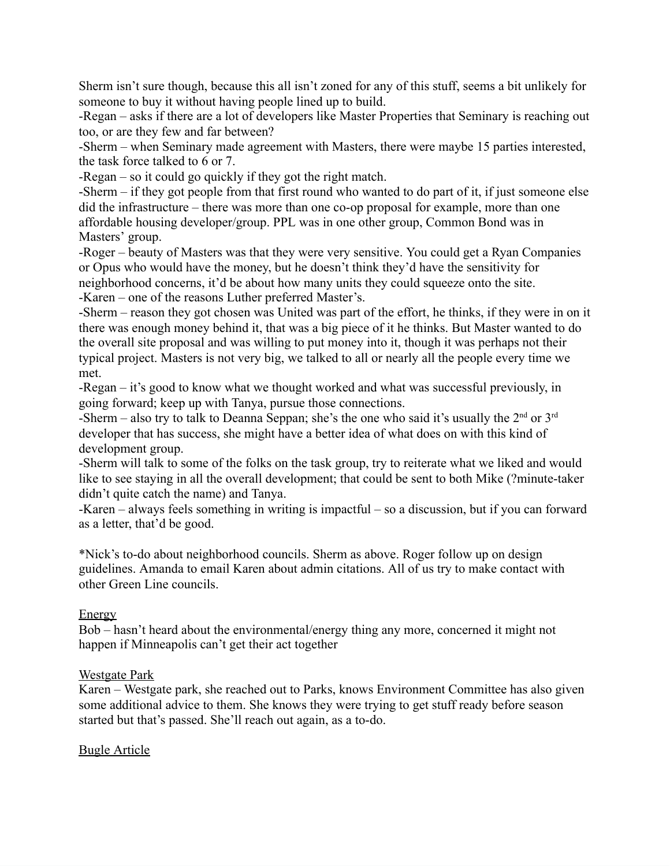Sherm isn't sure though, because this all isn't zoned for any of this stuff, seems a bit unlikely for someone to buy it without having people lined up to build.

-Regan – asks if there are a lot of developers like Master Properties that Seminary is reaching out too, or are they few and far between?

-Sherm – when Seminary made agreement with Masters, there were maybe 15 parties interested, the task force talked to 6 or 7.

-Regan – so it could go quickly if they got the right match.

-Sherm – if they got people from that first round who wanted to do part of it, if just someone else did the infrastructure – there was more than one co-op proposal for example, more than one affordable housing developer/group. PPL was in one other group, Common Bond was in Masters' group.

-Roger – beauty of Masters was that they were very sensitive. You could get a Ryan Companies or Opus who would have the money, but he doesn't think they'd have the sensitivity for neighborhood concerns, it'd be about how many units they could squeeze onto the site. -Karen – one of the reasons Luther preferred Master's.

-Sherm – reason they got chosen was United was part of the effort, he thinks, if they were in on it there was enough money behind it, that was a big piece of it he thinks. But Master wanted to do the overall site proposal and was willing to put money into it, though it was perhaps not their typical project. Masters is not very big, we talked to all or nearly all the people every time we met.

-Regan – it's good to know what we thought worked and what was successful previously, in going forward; keep up with Tanya, pursue those connections.

-Sherm – also try to talk to Deanna Seppan; she's the one who said it's usually the  $2<sup>nd</sup>$  or  $3<sup>rd</sup>$ developer that has success, she might have a better idea of what does on with this kind of development group.

-Sherm will talk to some of the folks on the task group, try to reiterate what we liked and would like to see staying in all the overall development; that could be sent to both Mike (?minute-taker didn't quite catch the name) and Tanya.

-Karen – always feels something in writing is impactful – so a discussion, but if you can forward as a letter, that'd be good.

\*Nick's to-do about neighborhood councils. Sherm as above. Roger follow up on design guidelines. Amanda to email Karen about admin citations. All of us try to make contact with other Green Line councils.

# Energy

Bob – hasn't heard about the environmental/energy thing any more, concerned it might not happen if Minneapolis can't get their act together

### Westgate Park

Karen – Westgate park, she reached out to Parks, knows Environment Committee has also given some additional advice to them. She knows they were trying to get stuff ready before season started but that's passed. She'll reach out again, as a to-do.

# Bugle Article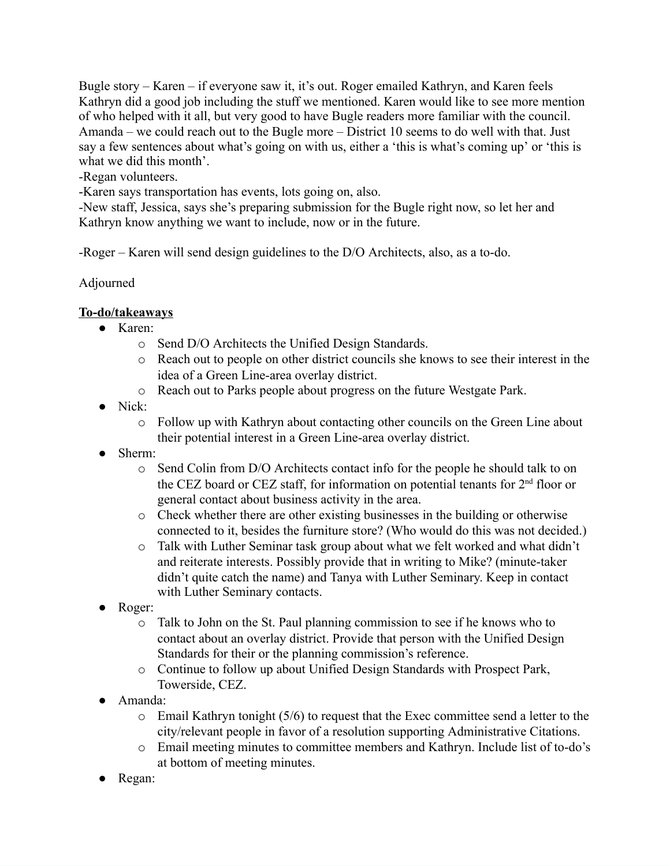Bugle story – Karen – if everyone saw it, it's out. Roger emailed Kathryn, and Karen feels Kathryn did a good job including the stuff we mentioned. Karen would like to see more mention of who helped with it all, but very good to have Bugle readers more familiar with the council. Amanda – we could reach out to the Bugle more – District 10 seems to do well with that. Just say a few sentences about what's going on with us, either a 'this is what's coming up' or 'this is what we did this month'.

-Regan volunteers.

-Karen says transportation has events, lots going on, also.

-New staff, Jessica, says she's preparing submission for the Bugle right now, so let her and Kathryn know anything we want to include, now or in the future.

-Roger – Karen will send design guidelines to the D/O Architects, also, as a to-do.

Adjourned

# **To-do/takeaways**

- Karen:
	- o Send D/O Architects the Unified Design Standards.
	- o Reach out to people on other district councils she knows to see their interest in the idea of a Green Line-area overlay district.
	- o Reach out to Parks people about progress on the future Westgate Park.
- Nick:
	- o Follow up with Kathryn about contacting other councils on the Green Line about their potential interest in a Green Line-area overlay district.
- Sherm:
	- o Send Colin from D/O Architects contact info for the people he should talk to on the CEZ board or CEZ staff, for information on potential tenants for  $2<sup>nd</sup>$  floor or general contact about business activity in the area.
	- o Check whether there are other existing businesses in the building or otherwise connected to it, besides the furniture store? (Who would do this was not decided.)
	- o Talk with Luther Seminar task group about what we felt worked and what didn't and reiterate interests. Possibly provide that in writing to Mike? (minute-taker didn't quite catch the name) and Tanya with Luther Seminary. Keep in contact with Luther Seminary contacts.
- Roger:
	- o Talk to John on the St. Paul planning commission to see if he knows who to contact about an overlay district. Provide that person with the Unified Design Standards for their or the planning commission's reference.
	- o Continue to follow up about Unified Design Standards with Prospect Park, Towerside, CEZ.
- Amanda:
	- o Email Kathryn tonight (5/6) to request that the Exec committee send a letter to the city/relevant people in favor of a resolution supporting Administrative Citations.
	- o Email meeting minutes to committee members and Kathryn. Include list of to-do's at bottom of meeting minutes.
- Regan: